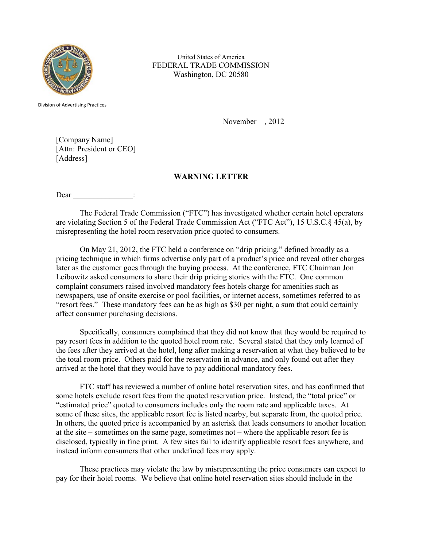

United States of America FEDERAL TRADE COMMISSION Washington, DC 20580

Division of Advertising Practices

November , 2012

[Company Name] [Attn: President or CEO] [Address]

## **WARNING LETTER**

Dear  $\Box$ 

The Federal Trade Commission ("FTC") has investigated whether certain hotel operators are violating Section 5 of the Federal Trade Commission Act ("FTC Act"), 15 U.S.C.§ 45(a), by misrepresenting the hotel room reservation price quoted to consumers.

On May 21, 2012, the FTC held a conference on "drip pricing," defined broadly as a pricing technique in which firms advertise only part of a product's price and reveal other charges later as the customer goes through the buying process. At the conference, FTC Chairman Jon Leibowitz asked consumers to share their drip pricing stories with the FTC. One common complaint consumers raised involved mandatory fees hotels charge for amenities such as newspapers, use of onsite exercise or pool facilities, or internet access, sometimes referred to as "resort fees." These mandatory fees can be as high as \$30 per night, a sum that could certainly affect consumer purchasing decisions.

Specifically, consumers complained that they did not know that they would be required to pay resort fees in addition to the quoted hotel room rate. Several stated that they only learned of the fees after they arrived at the hotel, long after making a reservation at what they believed to be the total room price. Others paid for the reservation in advance, and only found out after they arrived at the hotel that they would have to pay additional mandatory fees.

FTC staff has reviewed a number of online hotel reservation sites, and has confirmed that some hotels exclude resort fees from the quoted reservation price. Instead, the "total price" or "estimated price" quoted to consumers includes only the room rate and applicable taxes. At some of these sites, the applicable resort fee is listed nearby, but separate from, the quoted price. In others, the quoted price is accompanied by an asterisk that leads consumers to another location at the site – sometimes on the same page, sometimes not – where the applicable resort fee is disclosed, typically in fine print. A few sites fail to identify applicable resort fees anywhere, and instead inform consumers that other undefined fees may apply.

These practices may violate the law by misrepresenting the price consumers can expect to pay for their hotel rooms. We believe that online hotel reservation sites should include in the